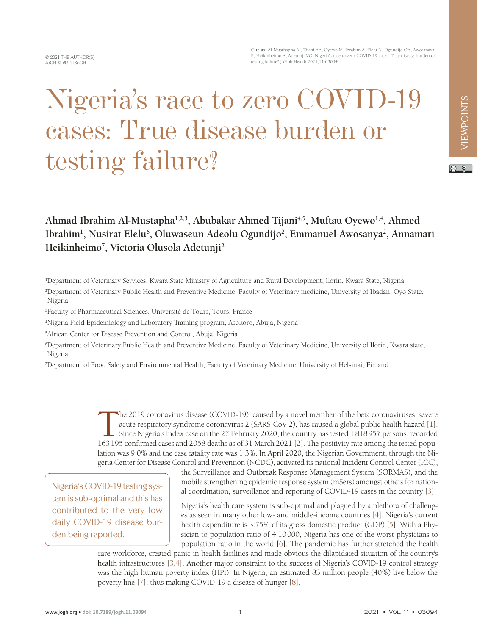**Cite as:** Al-Musthapha AI, Tijani AA, Oyewo M, Ibrahim A, Elelu N, Ogundijo OA, Awosanaya E, Heikinheimo A, Adetunji VO. Nigeria's race to zero COVID-19 cases: True disease burden or testing failure? J Glob Health 2021;11:03094.

# Nigeria's race to zero COVID-19 cases: True disease burden or testing failure?

Ahmad Ibrahim Al-Mustapha<sup>1,2,3</sup>, Abubakar Ahmed Tijani<sup>4,5</sup>, Muftau Oyewo<sup>1,4</sup>, Ahmed Ibrahim<sup>1</sup>, Nusirat Elelu<sup>6</sup>, Oluwaseun Adeolu Ogundijo<sup>2</sup>, Emmanuel Awosanya<sup>2</sup>, Annamari **Heikinheimo7 , Victoria Olusola Adetunji2**

1 Department of Veterinary Services, Kwara State Ministry of Agriculture and Rural Development, Ilorin, Kwara State, Nigeria

2 Department of Veterinary Public Health and Preventive Medicine, Faculty of Veterinary medicine, University of Ibadan, Oyo State, Nigeria

3 Faculty of Pharmaceutical Sciences, Université de Tours, Tours, France

4 Nigeria Field Epidemiology and Laboratory Training program, Asokoro, Abuja, Nigeria

5 African Center for Disease Prevention and Control, Abuja, Nigeria

6 Department of Veterinary Public Health and Preventive Medicine, Faculty of Veterinary Medicine, University of Ilorin, Kwara state, Nigeria

7 Department of Food Safety and Environmental Health, Faculty of Veterinary Medicine, University of Helsinki, Finland

The 2019 coronavirus disease (COVID-19), caused by a novel member of the beta coronaviruses, severe acute respiratory syndrome coronavirus 2 (SARS-CoV-2), has caused a global public health hazard [1]. Since Nigeria's index case on the 27 February 2020, the country has tested 1818957 persons, recorded 163195 confirmed cases and 2058 deaths as of 31 March 2021 [\[2](#page-3-1)]. The positivity rate among the tested population was 9.0% and the case fatality rate was 1.3%. In April 2020, the Nigerian Government, through the Nigeria Center for Disease Control and Prevention (NCDC), activated its national Incident Control Center (ICC),

Nigeria's COVID-19 testing system is sub-optimal and this has contributed to the very low daily COVID-19 disease burden being reported.

the Surveillance and Outbreak Response Management System (SORMAS), and the mobile strengthening epidemic response system (mSers) amongst others for national coordination, surveillance and reporting of COVID-19 cases in the country [\[3](#page-3-2)].

Nigeria's health care system is sub-optimal and plagued by a plethora of challenges as seen in many other low- and middle-income countries [\[4](#page-3-3)]. Nigeria's current health expenditure is 3.75% of its gross domestic product (GDP) [\[5](#page-3-4)]. With a Physician to population ratio of 4:10000, Nigeria has one of the worst physicians to population ratio in the world [[6\]](#page-3-5). The pandemic has further stretched the health

care workforce, created panic in health facilities and made obvious the dilapidated situation of the country's health infrastructures [[3](#page-3-2)[,4](#page-3-3)]. Another major constraint to the success of Nigeria's COVID-19 control strategy was the high human poverty index (HPI). In Nigeria, an estimated 83 million people (40%) live below the poverty line [\[7](#page-3-6)], thus making COVID-19 a disease of hunger [[8\]](#page-3-7).

 $\circ$   $\circ$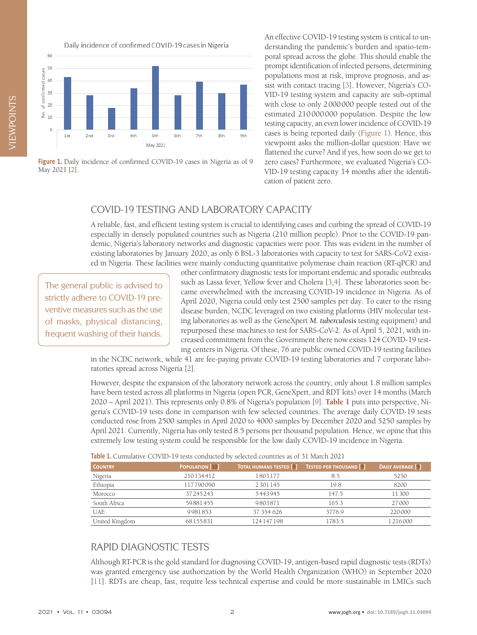Daily incidence of confirmed COVID-19 cases in Nigeria

<span id="page-1-0"></span>

Figure 1. Daily incidence of confirmed COVID-19 cases in Nigeria as of 9 May 2021 [[2](#page-3-1)].

An effective COVID-19 testing system is critical to understanding the pandemic's burden and spatio-temporal spread across the globe. This should enable the prompt identification of infected persons, determining populations most at risk, improve prognosis, and assist with contact tracing [\[3](#page-3-2)]. However, Nigeria's CO-VID-19 testing system and capacity are sub-optimal with close to only 2000000 people tested out of the estimated 210000000 population. Despite the low testing capacity, an even lower incidence of COVID-19 cases is being reported daily ([Figure 1](#page-1-0)). Hence, this viewpoint asks the million-dollar question: Have we flattened the curve? And if yes, how soon do we get to zero cases? Furthermore, we evaluated Nigeria's CO-VID-19 testing capacity 14 months after the identification of patient zero.

## COVID-19 TESTING AND LABORATORY CAPACITY

A reliable, fast, and efficient testing system is crucial to identifying cases and curbing the spread of COVID-19 especially in densely populated countries such as Nigeria (210 million people). Prior to the COVID-19 pandemic, Nigeria's laboratory networks and diagnostic capacities were poor. This was evident in the number of existing laboratories by January 2020, as only 6 BSL-3 laboratories with capacity to test for SARS-CoV2 existed in Nigeria. These facilities were mainly conducting quantitative polymerase chain reaction (RT-qPCR) and

The general public is advised to strictly adhere to COVID-19 preventive measures such as the use of masks, physical distancing, frequent washing of their hands.

other confirmatory diagnostic tests for important endemic and sporadic outbreaks such as Lassa fever, Yellow fever and Cholera [\[3,](#page-3-2)[4](#page-3-3)]. These laboratories soon became overwhelmed with the increasing COVID-19 incidence in Nigeria. As of April 2020, Nigeria could only test 2500 samples per day. To cater to the rising disease burden, NCDC leveraged on two existing platforms (HIV molecular testing laboratories as well as the GeneXpert *M. tuberculosis* testing equipment) and repurposed these machines to test for SARS-CoV-2. As of April 5, 2021, with increased commitment from the Government there now exists 124 COVID-19 testing centers in Nigeria. Of these, 76 are public owned COVID-19 testing facilities

in the NCDC network, while 41 are fee-paying private COVID-19 testing laboratories and 7 corporate laboratories spread across Nigeria [[2\]](#page-3-1).

However, despite the expansion of the laboratory network across the country, only about 1.8 million samples have been tested across all platforms in Nigeria (open PCR, GeneXpert, and RDT kits) over 14 months (March 2020 – April 2021). This represents only 0.8% of Nigeria's population [\[9](#page-3-8)]. **[Table 1](#page-1-1)** puts into perspective, Nigeria's COVID-19 tests done in comparison with few selected countries. The average daily COVID-19 tests conducted rose from 2500 samples in April 2020 to 4000 samples by December 2020 and 5250 samples by April 2021. Currently, Nigeria has only tested 8.5 persons per thousand population. Hence, we opine that this extremely low testing system could be responsible for the low daily COVID-19 incidence in Nigeria.

| <b>Table 1.</b> Cumulative COVID-19 tests continued by selected countries as 01.31 March 2021 |                        |                                |                                |                          |
|-----------------------------------------------------------------------------------------------|------------------------|--------------------------------|--------------------------------|--------------------------|
| <b>COUNTRY</b>                                                                                | <b>POPULATION [10]</b> | <b>TOTAL HUMANS TESTED [9]</b> | <b>TESTED PER THOUSAND [9]</b> | <b>DAILY AVERAGE [9]</b> |
| Nigeria                                                                                       | 210134412              | 1803177                        | 8.5                            | 5250                     |
| Ethiopia                                                                                      | 117790090              | 2301145                        | 19.8                           | 8200                     |
| Morocco                                                                                       | 37245243               | 5443945                        | 147.5                          | 11300                    |
| South Africa                                                                                  | 59881455               | 9803871                        | 165.3                          | 27000                    |
| <b>UAE</b>                                                                                    | 9981853                | 37 354 626                     | 3776.9                         | 220000                   |
| United Kingdom                                                                                | 68155831               | 124147198                      | 1783.5                         | 1216000                  |

<span id="page-1-1"></span>**Table 1.** Cumulative COVID-19 tests conducted by selected countries as of 31 March 2021

### RAPID DIAGNOSTIC TESTS

Although RT-PCR is the gold standard for diagnosing COVID-19, antigen-based rapid diagnostic tests (RDTs) was granted emergency use authorization by the World Health Organization (WHO) in September 2020 [[11](#page-3-10)]. RDTs are cheap, fast, require less technical expertise and could be more sustainable in LMICs such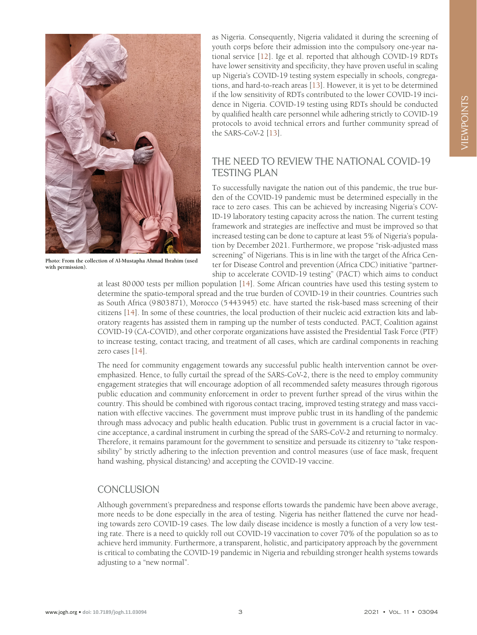

**Photo: From the collection of Al-Mustapha Ahmad Ibrahim (used with permission).**

as Nigeria. Consequently, Nigeria validated it during the screening of youth corps before their admission into the compulsory one-year national service [[12](#page-3-11)]. Ige et al. reported that although COVID-19 RDTs have lower sensitivity and specificity, they have proven useful in scaling up Nigeria's COVID-19 testing system especially in schools, congregations, and hard-to-reach areas [[13\]](#page-3-12). However, it is yet to be determined if the low sensitivity of RDTs contributed to the lower COVID-19 incidence in Nigeria. COVID-19 testing using RDTs should be conducted by qualified health care personnel while adhering strictly to COVID-19 protocols to avoid technical errors and further community spread of the SARS-CoV-2 [[13](#page-3-12)].

### THE NEED TO REVIEW THE NATIONAL COVID-19 TESTING PLAN

To successfully navigate the nation out of this pandemic, the true burden of the COVID-19 pandemic must be determined especially in the race to zero cases. This can be achieved by increasing Nigeria's COV-ID-19 laboratory testing capacity across the nation. The current testing framework and strategies are ineffective and must be improved so that increased testing can be done to capture at least 5% of Nigeria's population by December 2021. Furthermore, we propose "risk-adjusted mass screening" of Nigerians. This is in line with the target of the Africa Center for Disease Control and prevention (Africa CDC) initiative "partnership to accelerate COVID-19 testing" (PACT) which aims to conduct

at least 80000 tests per million population [[14](#page-3-13)]. Some African countries have used this testing system to determine the spatio-temporal spread and the true burden of COVID-19 in their countries. Countries such as South Africa (9803871), Morocco (5443945) etc. have started the risk-based mass screening of their citizens [[14](#page-3-13)]. In some of these countries, the local production of their nucleic acid extraction kits and laboratory reagents has assisted them in ramping up the number of tests conducted. PACT, Coalition against COVID-19 (CA-COVID), and other corporate organizations have assisted the Presidential Task Force (PTF) to increase testing, contact tracing, and treatment of all cases, which are cardinal components in reaching zero cases [[14\]](#page-3-13).

The need for community engagement towards any successful public health intervention cannot be overemphasized. Hence, to fully curtail the spread of the SARS-CoV-2, there is the need to employ community engagement strategies that will encourage adoption of all recommended safety measures through rigorous public education and community enforcement in order to prevent further spread of the virus within the country. This should be combined with rigorous contact tracing, improved testing strategy and mass vaccination with effective vaccines. The government must improve public trust in its handling of the pandemic through mass advocacy and public health education. Public trust in government is a crucial factor in vaccine acceptance, a cardinal instrument in curbing the spread of the SARS-CoV-2 and returning to normalcy. Therefore, it remains paramount for the government to sensitize and persuade its citizenry to "take responsibility" by strictly adhering to the infection prevention and control measures (use of face mask, frequent hand washing, physical distancing) and accepting the COVID-19 vaccine.

#### **CONCLUSION**

Although government's preparedness and response efforts towards the pandemic have been above average, more needs to be done especially in the area of testing. Nigeria has neither flattened the curve nor heading towards zero COVID-19 cases. The low daily disease incidence is mostly a function of a very low testing rate. There is a need to quickly roll out COVID-19 vaccination to cover 70% of the population so as to achieve herd immunity. Furthermore, a transparent, holistic, and participatory approach by the government is critical to combating the COVID-19 pandemic in Nigeria and rebuilding stronger health systems towards adjusting to a "new normal".